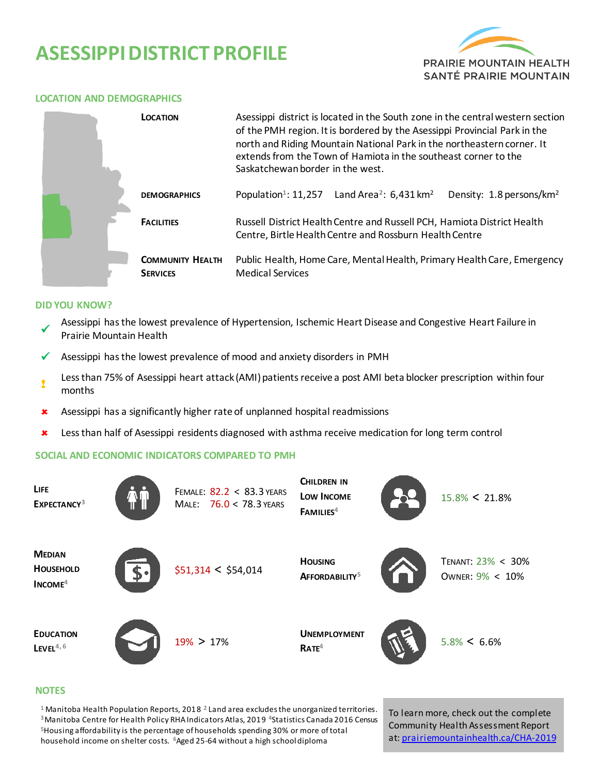# **ASESSIPPIDISTRICT PROFILE**



#### **LOCATION AND DEMOGRAPHICS**

|  | LOCATION                                   | Asessippi district is located in the South zone in the central western section<br>of the PMH region. It is bordered by the Asessippi Provincial Park in the<br>north and Riding Mountain National Park in the northeastern corner. It<br>extends from the Town of Hamiota in the southeast corner to the<br>Saskatchewan border in the west. |                                                  |                                      |  |  |
|--|--------------------------------------------|----------------------------------------------------------------------------------------------------------------------------------------------------------------------------------------------------------------------------------------------------------------------------------------------------------------------------------------------|--------------------------------------------------|--------------------------------------|--|--|
|  | <b>DEMOGRAPHICS</b>                        | Population <sup>1</sup> : 11,257                                                                                                                                                                                                                                                                                                             | Land Area <sup>2</sup> : $6,431$ km <sup>2</sup> | Density: 1.8 persons/km <sup>2</sup> |  |  |
|  | <b>FACILITIES</b>                          | Russell District Health Centre and Russell PCH, Hamiota District Health<br>Centre, Birtle Health Centre and Rossburn Health Centre                                                                                                                                                                                                           |                                                  |                                      |  |  |
|  | <b>COMMUNITY HEALTH</b><br><b>SERVICES</b> | Public Health, Home Care, Mental Health, Primary Health Care, Emergency<br><b>Medical Services</b>                                                                                                                                                                                                                                           |                                                  |                                      |  |  |

#### **DID YOU KNOW?**

- $\checkmark$ Asessippi has the lowest prevalence of Hypertension, Ischemic Heart Disease and Congestive Heart Failure in Prairie Mountain Health
- $\checkmark$  Asessippi has the lowest prevalence of mood and anxiety disorders in PMH
- ! Less than 75% of Asessippi heart attack (AMI) patients receive a post AMI beta blocker prescription within four months
- Asessippi has a significantly higher rate of unplanned hospital readmissions
- Less than half of Asessippi residents diagnosed with asthma receive medication for long term control

### **SOCIAL AND ECONOMIC INDICATORS COMPARED TO PMH**



#### **NOTES**

 Manitoba Health Population Reports, 2018 **<sup>2</sup>**Land area excludes the unorganized territories. Manitoba Centre for Health Policy RHA Indicators Atlas, 2019 **<sup>4</sup>**Statistics Canada 2016 Census Housing affordability is the percentage of households spending 30% or more of total household income on shelter costs. **<sup>6</sup>**Aged 25-64 without a high school diploma

To learn more, check out the complete Community Health Assessment Report at[: prairiemountainhealth.ca/CHA-2019](https://prairiemountainhealth.ca/CHA-2019)